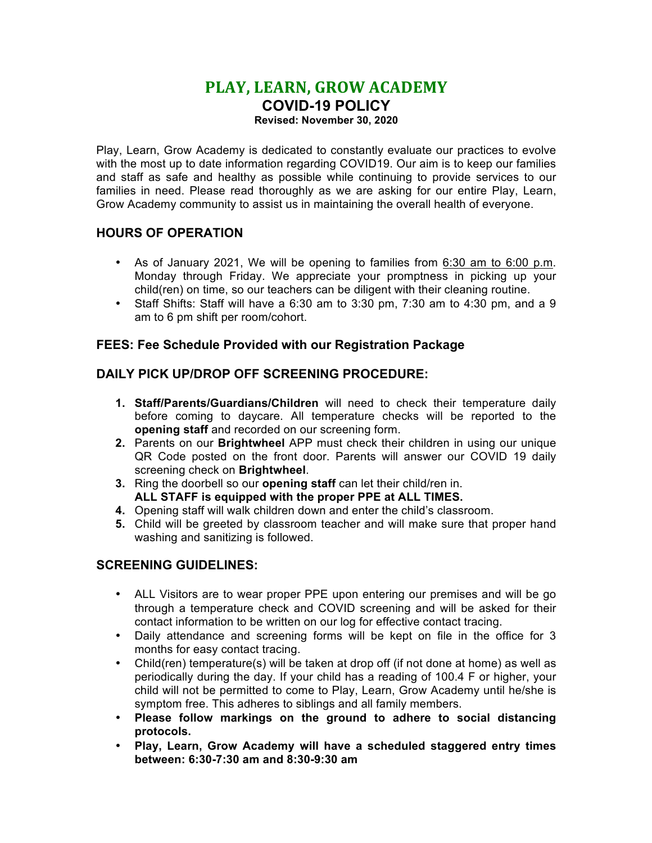# **PLAY, LEARN, GROW ACADEMY COVID-19 POLICY**

**Revised: November 30, 2020**

Play, Learn, Grow Academy is dedicated to constantly evaluate our practices to evolve with the most up to date information regarding COVID19. Our aim is to keep our families and staff as safe and healthy as possible while continuing to provide services to our families in need. Please read thoroughly as we are asking for our entire Play, Learn, Grow Academy community to assist us in maintaining the overall health of everyone.

## **HOURS OF OPERATION**

- As of January 2021, We will be opening to families from 6:30 am to 6:00 p.m. Monday through Friday. We appreciate your promptness in picking up your child(ren) on time, so our teachers can be diligent with their cleaning routine.
- Staff Shifts: Staff will have a  $6:30$  am to  $3:30$  pm,  $7:30$  am to  $4:30$  pm, and a  $9$ am to 6 pm shift per room/cohort.

# **FEES: Fee Schedule Provided with our Registration Package**

## **DAILY PICK UP/DROP OFF SCREENING PROCEDURE:**

- **1. Staff/Parents/Guardians/Children** will need to check their temperature daily before coming to daycare. All temperature checks will be reported to the **opening staff** and recorded on our screening form.
- **2.** Parents on our **Brightwheel** APP must check their children in using our unique QR Code posted on the front door. Parents will answer our COVID 19 daily screening check on **Brightwheel**.
- **3.** Ring the doorbell so our **opening staff** can let their child/ren in. **ALL STAFF is equipped with the proper PPE at ALL TIMES.**
- **4.** Opening staff will walk children down and enter the child's classroom.
- **5.** Child will be greeted by classroom teacher and will make sure that proper hand washing and sanitizing is followed.

## **SCREENING GUIDELINES:**

- ALL Visitors are to wear proper PPE upon entering our premises and will be go through a temperature check and COVID screening and will be asked for their contact information to be written on our log for effective contact tracing.
- Daily attendance and screening forms will be kept on file in the office for 3 months for easy contact tracing.
- Child(ren) temperature(s) will be taken at drop off (if not done at home) as well as periodically during the day. If your child has a reading of 100.4 F or higher, your child will not be permitted to come to Play, Learn, Grow Academy until he/she is symptom free. This adheres to siblings and all family members.
- **Please follow markings on the ground to adhere to social distancing protocols.**
- **Play, Learn, Grow Academy will have a scheduled staggered entry times between: 6:30-7:30 am and 8:30-9:30 am**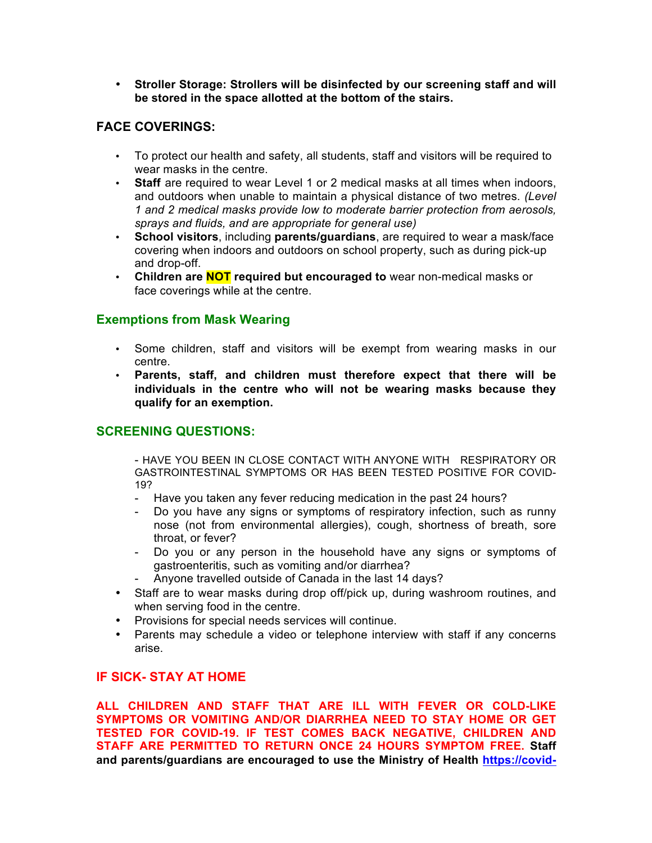• **Stroller Storage: Strollers will be disinfected by our screening staff and will be stored in the space allotted at the bottom of the stairs.**

## **FACE COVERINGS:**

- To protect our health and safety, all students, staff and visitors will be required to wear masks in the centre.
- **Staff** are required to wear Level 1 or 2 medical masks at all times when indoors, and outdoors when unable to maintain a physical distance of two metres. *(Level 1 and 2 medical masks provide low to moderate barrier protection from aerosols, sprays and fluids, and are appropriate for general use)*
- **School visitors**, including **parents/guardians**, are required to wear a mask/face covering when indoors and outdoors on school property, such as during pick-up and drop-off.
- **Children are NOT required but encouraged to** wear non-medical masks or face coverings while at the centre.

### **Exemptions from Mask Wearing**

- Some children, staff and visitors will be exempt from wearing masks in our centre.
- **Parents, staff, and children must therefore expect that there will be individuals in the centre who will not be wearing masks because they qualify for an exemption.**

## **SCREENING QUESTIONS:**

- HAVE YOU BEEN IN CLOSE CONTACT WITH ANYONE WITH RESPIRATORY OR GASTROINTESTINAL SYMPTOMS OR HAS BEEN TESTED POSITIVE FOR COVID-19?

- Have you taken any fever reducing medication in the past 24 hours?
- Do you have any signs or symptoms of respiratory infection, such as runny nose (not from environmental allergies), cough, shortness of breath, sore throat, or fever?
- Do you or any person in the household have any signs or symptoms of gastroenteritis, such as vomiting and/or diarrhea?
- Anyone travelled outside of Canada in the last 14 days?
- Staff are to wear masks during drop off/pick up, during washroom routines, and when serving food in the centre.
- Provisions for special needs services will continue.
- Parents may schedule a video or telephone interview with staff if any concerns arise.

## **IF SICK- STAY AT HOME**

**ALL CHILDREN AND STAFF THAT ARE ILL WITH FEVER OR COLD-LIKE SYMPTOMS OR VOMITING AND/OR DIARRHEA NEED TO STAY HOME OR GET TESTED FOR COVID-19. IF TEST COMES BACK NEGATIVE, CHILDREN AND STAFF ARE PERMITTED TO RETURN ONCE 24 HOURS SYMPTOM FREE. Staff and parents/guardians are encouraged to use the Ministry of Health https://covid-**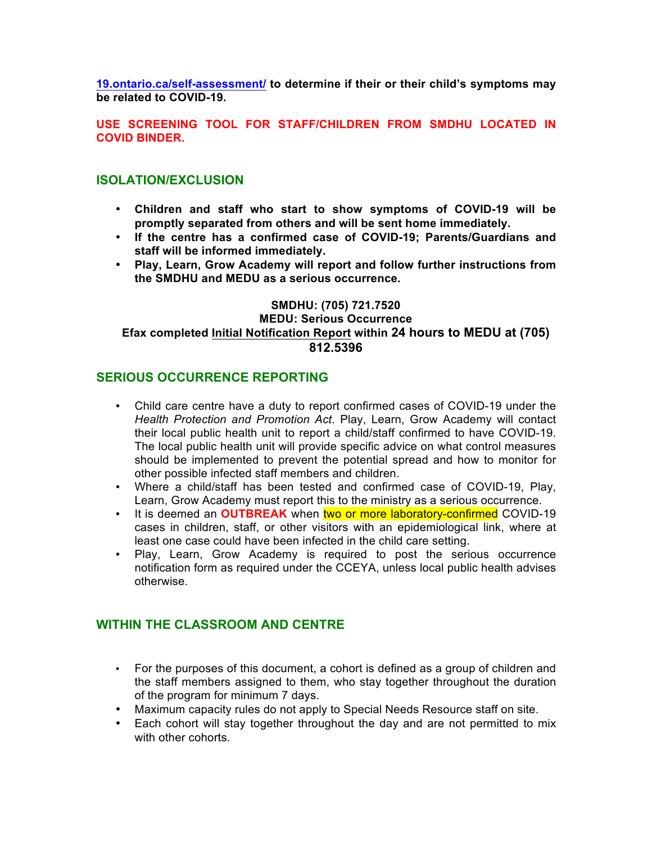**19.ontario.ca/self-assessment/ to determine if their or their child's symptoms may be related to COVID-19.**

#### **USE SCREENING TOOL FOR STAFF/CHILDREN FROM SMDHU LOCATED IN COVID BINDER.**

## **ISOLATION/EXCLUSION**

- **Children and staff who start to show symptoms of COVID-19 will be promptly separated from others and will be sent home immediately.**
- **If the centre has a confirmed case of COVID-19; Parents/Guardians and staff will be informed immediately.**
- **Play, Learn, Grow Academy will report and follow further instructions from the SMDHU and MEDU as a serious occurrence.**

## **SMDHU: (705) 721.7520 MEDU: Serious Occurrence Efax completed Initial Notification Report within 24 hours to MEDU at (705) 812.5396**

## **SERIOUS OCCURRENCE REPORTING**

- Child care centre have a duty to report confirmed cases of COVID-19 under the *Health Protection and Promotion Act*. Play, Learn, Grow Academy will contact their local public health unit to report a child/staff confirmed to have COVID-19. The local public health unit will provide specific advice on what control measures should be implemented to prevent the potential spread and how to monitor for other possible infected staff members and children.
- Where a child/staff has been tested and confirmed case of COVID-19, Play, Learn, Grow Academy must report this to the ministry as a serious occurrence.
- It is deemed an **OUTBREAK** when two or more laboratory-confirmed COVID-19 cases in children, staff, or other visitors with an epidemiological link, where at least one case could have been infected in the child care setting.
- Play, Learn, Grow Academy is required to post the serious occurrence notification form as required under the CCEYA, unless local public health advises otherwise.

## **WITHIN THE CLASSROOM AND CENTRE**

- For the purposes of this document, a cohort is defined as a group of children and the staff members assigned to them, who stay together throughout the duration of the program for minimum 7 days.
- Maximum capacity rules do not apply to Special Needs Resource staff on site.
- Each cohort will stay together throughout the day and are not permitted to mix with other cohorts.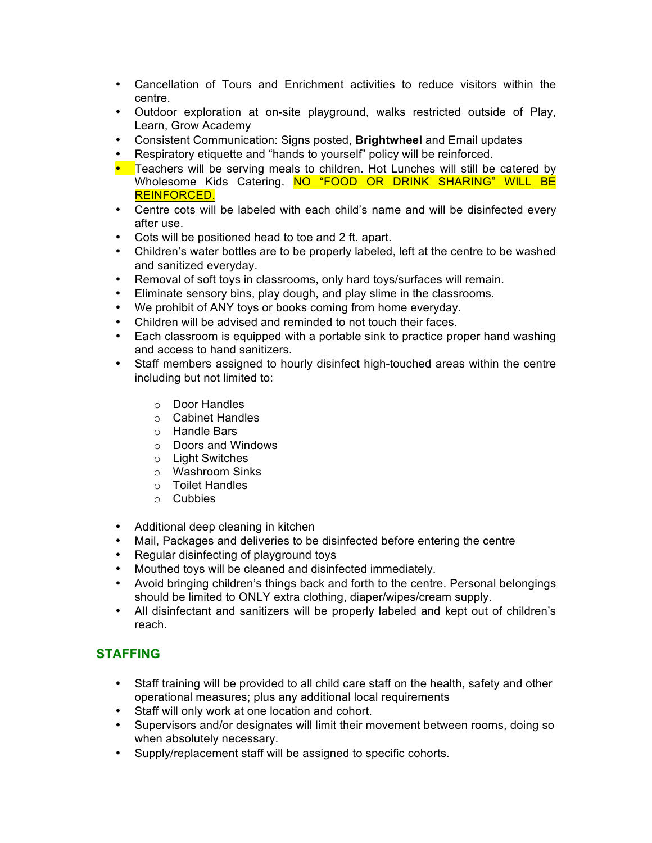- Cancellation of Tours and Enrichment activities to reduce visitors within the centre.
- Outdoor exploration at on-site playground, walks restricted outside of Play, Learn, Grow Academy
- Consistent Communication: Signs posted, **Brightwheel** and Email updates
- Respiratory etiquette and "hands to yourself" policy will be reinforced.
- Teachers will be serving meals to children. Hot Lunches will still be catered by Wholesome Kids Catering. NO "FOOD OR DRINK SHARING" WILL BE REINFORCED.
- Centre cots will be labeled with each child's name and will be disinfected every after use.
- Cots will be positioned head to toe and 2 ft. apart.
- Children's water bottles are to be properly labeled, left at the centre to be washed and sanitized everyday.
- Removal of soft toys in classrooms, only hard toys/surfaces will remain.
- Eliminate sensory bins, play dough, and play slime in the classrooms.
- We prohibit of ANY toys or books coming from home everyday.
- Children will be advised and reminded to not touch their faces.
- Each classroom is equipped with a portable sink to practice proper hand washing and access to hand sanitizers.
- Staff members assigned to hourly disinfect high-touched areas within the centre including but not limited to:
	- o Door Handles
	- o Cabinet Handles
	- o Handle Bars
	- o Doors and Windows
	- o Light Switches
	- o Washroom Sinks
	- o Toilet Handles
	- o Cubbies
- Additional deep cleaning in kitchen
- Mail, Packages and deliveries to be disinfected before entering the centre
- Regular disinfecting of playground toys
- Mouthed toys will be cleaned and disinfected immediately.
- Avoid bringing children's things back and forth to the centre. Personal belongings should be limited to ONLY extra clothing, diaper/wipes/cream supply.
- All disinfectant and sanitizers will be properly labeled and kept out of children's reach.

# **STAFFING**

- Staff training will be provided to all child care staff on the health, safety and other operational measures; plus any additional local requirements
- Staff will only work at one location and cohort.
- Supervisors and/or designates will limit their movement between rooms, doing so when absolutely necessary.
- Supply/replacement staff will be assigned to specific cohorts.